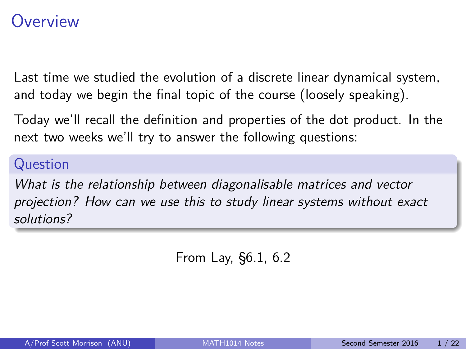## <span id="page-0-0"></span>**Overview**

Last time we studied the evolution of a discrete linear dynamical system, and today we begin the final topic of the course (loosely speaking).

Today we'll recall the definition and properties of the dot product. In the next two weeks we'll try to answer the following questions:

#### Question

What is the relationship between diagonalisable matrices and vector projection? How can we use this to study linear systems without exact solutions?

From Lay, §6.1, 6.2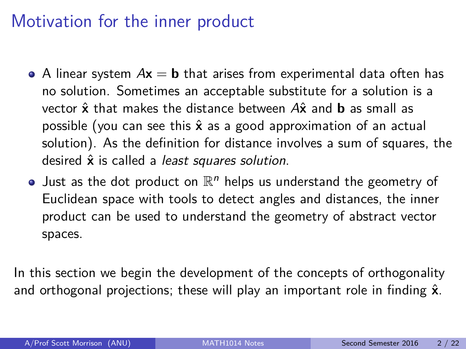## Motivation for the inner product

- A linear system  $Ax = b$  that arises from experimental data often has no solution. Sometimes an acceptable substitute for a solution is a vector **x**ˆ that makes the distance between A**x**ˆ and **b** as small as possible (you can see this **x**ˆ as a good approximation of an actual solution). As the definition for distance involves a sum of squares, the desired  $\hat{x}$  is called a *least squares solution*.
- Just as the dot product on  $\mathbb{R}^n$  helps us understand the geometry of Euclidean space with tools to detect angles and distances, the inner product can be used to understand the geometry of abstract vector spaces.

In this section we begin the development of the concepts of orthogonality and orthogonal projections; these will play an important role in finding **x**ˆ.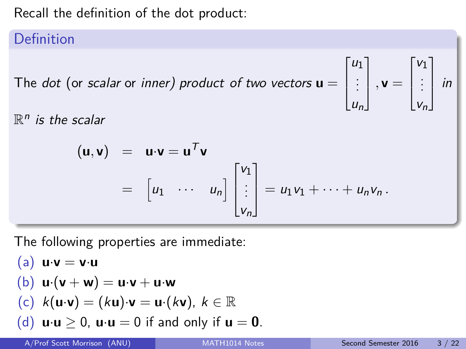Recall the definition of the dot product:

### Definition

The  $dot$  (or *scalar* or *inner) product of two vectors*  $\mathbf{u} =$ 

 $\mathbb{R}^n$  is the scalar

$$
(\mathbf{u}, \mathbf{v}) = \mathbf{u} \cdot \mathbf{v} = \mathbf{u}^T \mathbf{v}
$$
  
=  $\begin{bmatrix} u_1 & \cdots & u_n \end{bmatrix} \begin{bmatrix} v_1 \\ \vdots \\ v_n \end{bmatrix} = u_1 v_1 + \cdots + u_n v_n.$ 

The following properties are immediate:

\n- (a) 
$$
\mathbf{u} \cdot \mathbf{v} = \mathbf{v} \cdot \mathbf{u}
$$
\n- (b)  $\mathbf{u} \cdot (\mathbf{v} + \mathbf{w}) = \mathbf{u} \cdot \mathbf{v} + \mathbf{u} \cdot \mathbf{w}$
\n- (c)  $k(\mathbf{u} \cdot \mathbf{v}) = (k\mathbf{u}) \cdot \mathbf{v} = \mathbf{u} \cdot (k\mathbf{v}), k \in \mathbb{R}$
\n- (d)  $\mathbf{u} \cdot \mathbf{u} \geq 0$ ,  $\mathbf{u} \cdot \mathbf{u} = 0$  if and only if  $\mathbf{u} = \mathbf{0}$ .
\n

 $\sqrt{ }$ 

 $u_1$ . . . un 1

 $\vert \cdot \mathbf{v} =$ 

 $\sqrt{ }$ 

 $v_1$ . . . vn 1

 $\vert$  in

 $\Big\}$ 

 $\Big\}$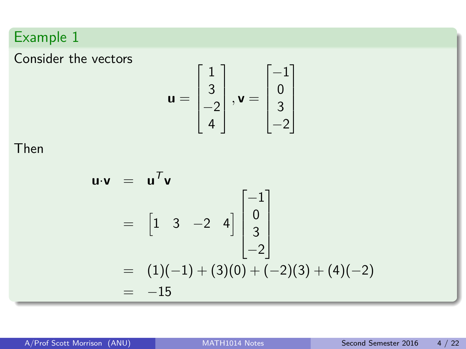### Example 1

Consider the vectors

$$
\mathbf{u} = \begin{bmatrix} 1 \\ 3 \\ -2 \\ 4 \end{bmatrix}, \mathbf{v} = \begin{bmatrix} -1 \\ 0 \\ 3 \\ -2 \end{bmatrix}
$$

Then

$$
\mathbf{u} \cdot \mathbf{v} = \mathbf{u}^T \mathbf{v}
$$
  
=  $\begin{bmatrix} 1 & 3 & -2 & 4 \end{bmatrix} \begin{bmatrix} -1 \\ 0 \\ 3 \\ -2 \end{bmatrix}$   
=  $(1)(-1) + (3)(0) + (-2)(3) + (4)(-2)$   
=  $-15$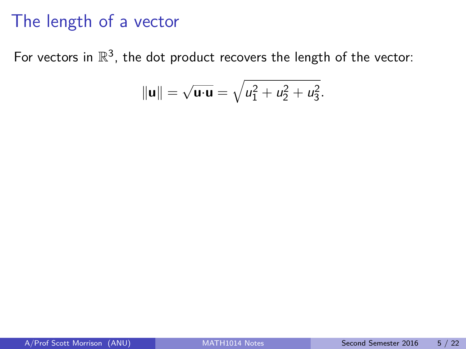## The length of a vector

For vectors in  $\mathbb{R}^3$ , the dot product recovers the length of the vector:

$$
\|\mathbf{u}\| = \sqrt{\mathbf{u} \cdot \mathbf{u}} = \sqrt{u_1^2 + u_2^2 + u_3^2}.
$$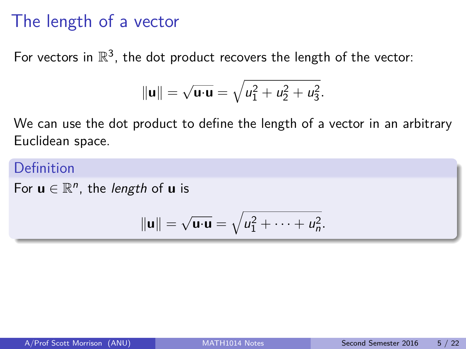## The length of a vector

For vectors in  $\mathbb{R}^3$ , the dot product recovers the length of the vector:

$$
\|\mathbf{u}\| = \sqrt{\mathbf{u} \cdot \mathbf{u}} = \sqrt{u_1^2 + u_2^2 + u_3^2}.
$$

We can use the dot product to define the length of a vector in an arbitrary Euclidean space.

### Definition

For  $u \in \mathbb{R}^n$ , the *length* of  $u$  is

$$
\|\mathbf{u}\| = \sqrt{\mathbf{u}\cdot\mathbf{u}} = \sqrt{u_1^2 + \cdots + u_n^2}.
$$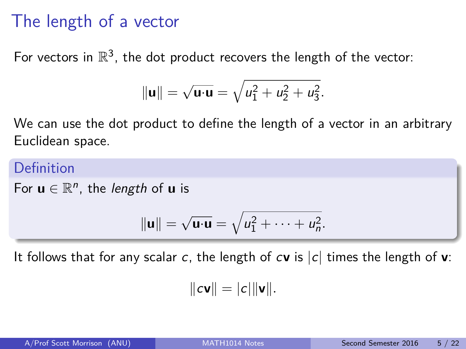## The length of a vector

For vectors in  $\mathbb{R}^3$ , the dot product recovers the length of the vector:

$$
\|\mathbf{u}\| = \sqrt{\mathbf{u} \cdot \mathbf{u}} = \sqrt{u_1^2 + u_2^2 + u_3^2}.
$$

We can use the dot product to define the length of a vector in an arbitrary Euclidean space.

### Definition

For  $u \in \mathbb{R}^n$ , the *length* of  $u$  is

$$
\|\mathbf{u}\|=\sqrt{\mathbf{u}\cdot\mathbf{u}}=\sqrt{u_1^2+\cdots+u_n^2}.
$$

It follows that for any scalar c, the length of c**v** is |c| times the length of **v**:

$$
\|c\mathbf{v}\| = |c|\|\mathbf{v}\|.
$$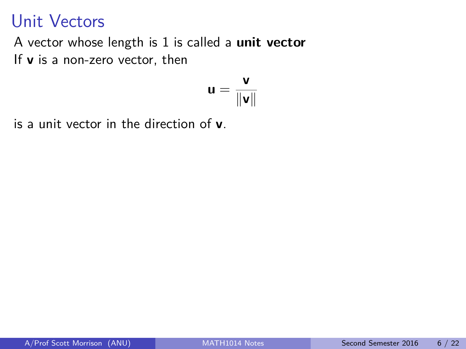## Unit Vectors

A vector whose length is 1 is called a **unit vector** If **v** is a non-zero vector, then

$$
\mathbf{u} = \frac{\mathbf{v}}{\|\mathbf{v}\|}
$$

is a unit vector in the direction of **v**.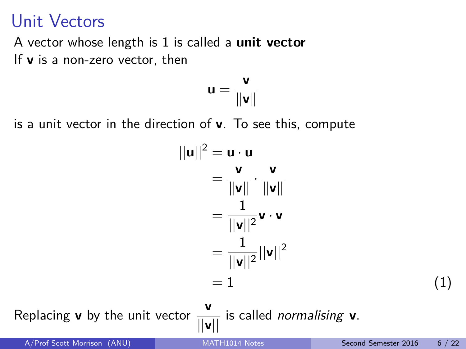## Unit Vectors

A vector whose length is 1 is called a **unit vector** If **v** is a non-zero vector, then

$$
\mathbf{u} = \frac{\mathbf{v}}{\|\mathbf{v}\|}
$$

is a unit vector in the direction of **v**. To see this, compute

$$
||\mathbf{u}||^2 = \mathbf{u} \cdot \mathbf{u}
$$
  
\n
$$
= \frac{\mathbf{v}}{\|\mathbf{v}\|} \cdot \frac{\mathbf{v}}{\|\mathbf{v}\|}
$$
  
\n
$$
= \frac{1}{||\mathbf{v}||^2} \mathbf{v} \cdot \mathbf{v}
$$
  
\n
$$
= \frac{1}{||\mathbf{v}||^2} ||\mathbf{v}||^2
$$
  
\n
$$
= 1
$$
 (1)

Replacing **v** by the unit vector  $\frac{v}{\|v\|}$  is called *normalising* **v**.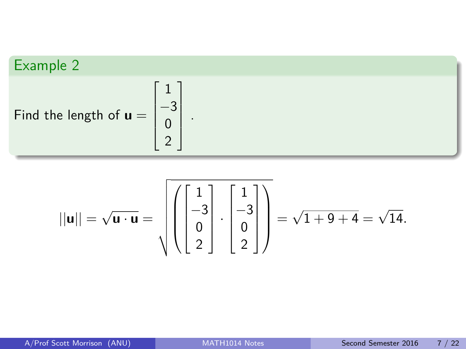Example 2  
Find the length of 
$$
\mathbf{u} = \begin{bmatrix} 1 \\ -3 \\ 0 \\ 2 \end{bmatrix}
$$
.

$$
||\mathbf{u}|| = \sqrt{\mathbf{u} \cdot \mathbf{u}} = \sqrt{\left(\begin{bmatrix} 1 \\ -3 \\ 0 \\ 2 \end{bmatrix} \cdot \begin{bmatrix} 1 \\ -3 \\ 0 \\ 2 \end{bmatrix}\right)} = \sqrt{1+9+4} = \sqrt{14}.
$$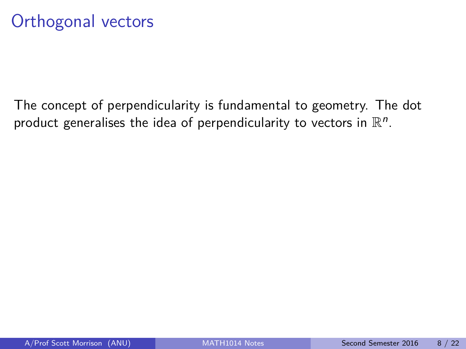The concept of perpendicularity is fundamental to geometry. The dot product generalises the idea of perpendicularity to vectors in  $\mathbb{R}^n$ .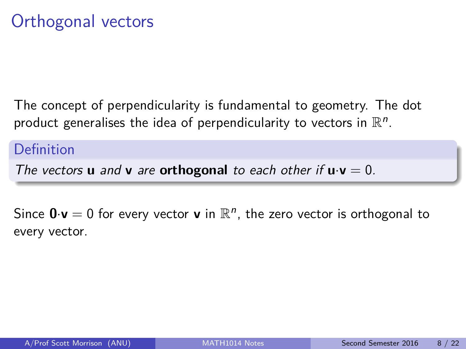The concept of perpendicularity is fundamental to geometry. The dot product generalises the idea of perpendicularity to vectors in  $\mathbb{R}^n$ .

### **Definition**

The vectors **u** and **v** are **orthogonal** to each other if  $\mathbf{u} \cdot \mathbf{v} = 0$ .

Since  $0 \cdot v = 0$  for every vector **v** in  $\mathbb{R}^n$ , the zero vector is orthogonal to every vector.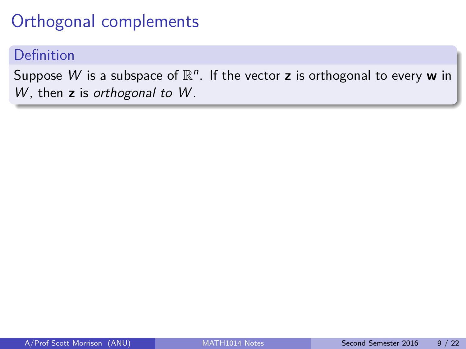# Orthogonal complements

#### Definition

Suppose  $W$  is a subspace of  $\mathbb{R}^n$ . If the vector **z** is orthogonal to every **w** in W, then z is orthogonal to W.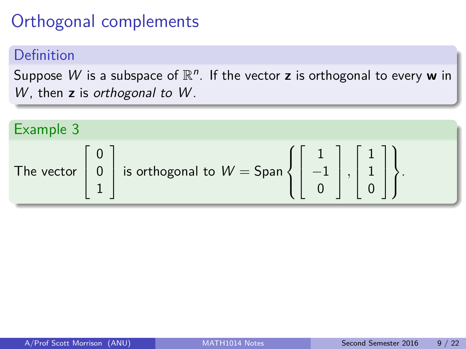# Orthogonal complements

#### Definition

Suppose  $W$  is a subspace of  $\mathbb{R}^n$ . If the vector **z** is orthogonal to every **w** in W, then **z** is orthogonal to W.

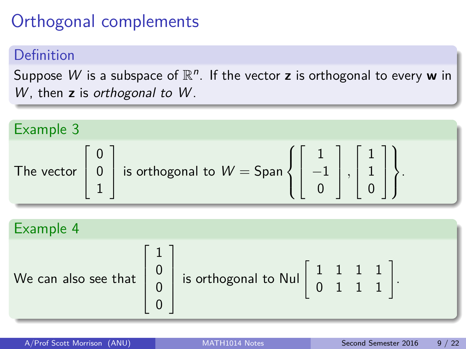# Orthogonal complements

### Definition

Suppose  $W$  is a subspace of  $\mathbb{R}^n$ . If the vector **z** is orthogonal to every **w** in W, then **z** is orthogonal to W.

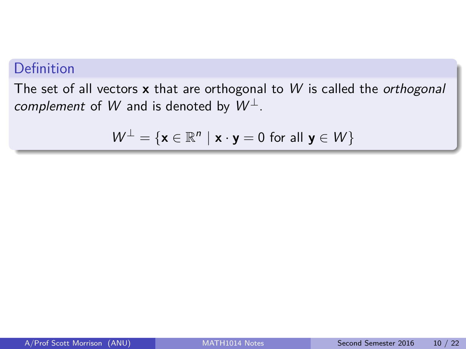### Definition

The set of all vectors **x** that are orthogonal to W is called the orthogonal complement of W and is denoted by  $W^{\perp}$ .

$$
W^{\perp} = \{ \mathbf{x} \in \mathbb{R}^n \mid \mathbf{x} \cdot \mathbf{y} = 0 \text{ for all } \mathbf{y} \in W \}
$$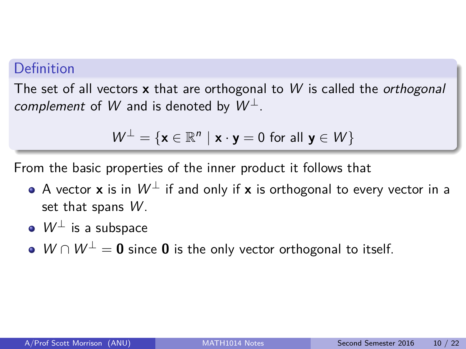#### Definition

The set of all vectors **x** that are orthogonal to W is called the orthogonal complement of W and is denoted by  $W^{\perp}$ .

$$
W^{\perp} = \{ \mathbf{x} \in \mathbb{R}^n \mid \mathbf{x} \cdot \mathbf{y} = 0 \text{ for all } \mathbf{y} \in W \}
$$

From the basic properties of the inner product it follows that

- **•** A vector **x** is in  $W^{\perp}$  if and only if **x** is orthogonal to every vector in a set that spans  $W$ .
- $\bullet \ W^{\perp}$  is a subspace
- W ∩ W<sup>⊥</sup> = 0 since 0 is the only vector orthogonal to itself.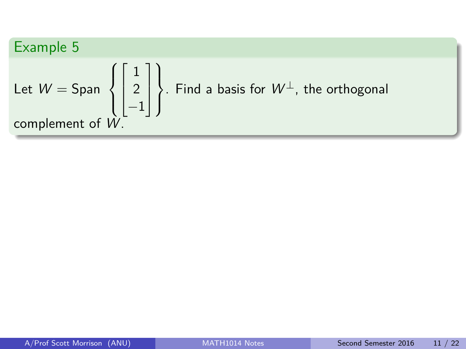Example 5  
Let 
$$
W = \text{Span}\left\{\begin{bmatrix} 1 \\ 2 \\ -1 \end{bmatrix}\right\}
$$
. Find a basis for  $W^{\perp}$ , the orthogonal complement of  $W$ .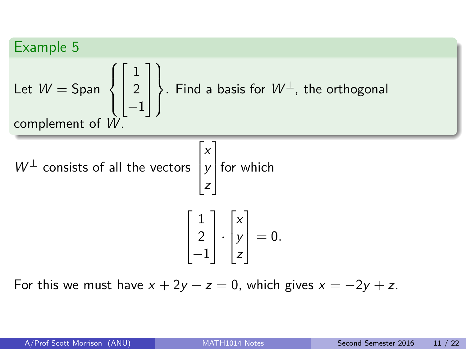### Example 5

Let 
$$
W = \text{Span}\left\{\begin{bmatrix} 1\\2\\-1 \end{bmatrix}\right\}
$$
. Find a basis for  $W^{\perp}$ , the orthogonal complement of  $W$ .

 $W^{\perp}$  consists of all the vectors  $\sqrt{ }$  $\overline{\phantom{a}}$ x y z 1 for which  $\sqrt{ }$  $\Big\}$ 1 2 −1 1  $|\cdot$  $\sqrt{ }$  $\Big\}$ x y z 1  $\Big| = 0.$ 

For this we must have  $x + 2y - z = 0$ , which gives  $x = -2y + z$ .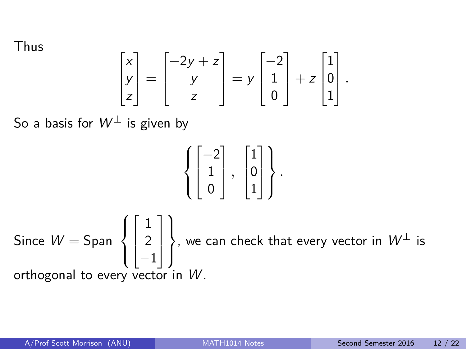Thus

$$
\begin{bmatrix} x \\ y \\ z \end{bmatrix} = \begin{bmatrix} -2y + z \\ y \\ z \end{bmatrix} = y \begin{bmatrix} -2 \\ 1 \\ 0 \end{bmatrix} + z \begin{bmatrix} 1 \\ 0 \\ 1 \end{bmatrix}.
$$

So a basis for  $W^{\perp}$  is given by

$$
\left\{\begin{bmatrix} -2 \\ 1 \\ 0 \end{bmatrix},\ \begin{bmatrix} 1 \\ 0 \\ 1 \end{bmatrix}\right\}.
$$

Since  $W =$  Span  $\sqrt{ }$  $\int$  $\overline{\mathcal{L}}$  $\sqrt{ }$  $\overline{\phantom{a}}$ 1 2 −1 1  $\begin{array}{c} \hline \end{array}$  $\mathcal{L}$  $\mathcal{L}$  $\int$ , we can check that every vector in  $W^\perp$  is orthogonal to every vector in  $W$ .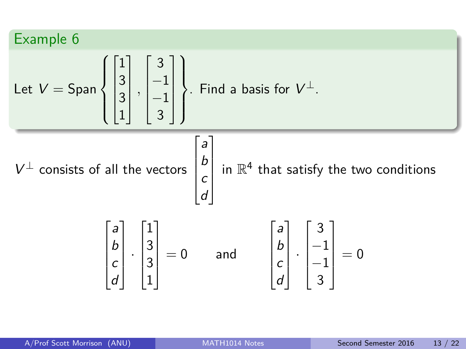Example 6

\nLet 
$$
V = \text{Span} \left\{ \begin{bmatrix} 1 \\ 3 \\ 3 \\ 1 \end{bmatrix}, \begin{bmatrix} 3 \\ -1 \\ -1 \\ 3 \end{bmatrix} \right\}
$$
. Find a basis for  $V^{\perp}$ .

\n $V^{\perp}$  consists of all the vectors  $\begin{bmatrix} a \\ b \\ c \\ d \end{bmatrix}$  in  $\mathbb{R}^{4}$  that satisfy the two conditions

\n
$$
\begin{bmatrix} a \\ b \\ c \\ d \end{bmatrix} \cdot \begin{bmatrix} 1 \\ 3 \\ 3 \\ 1 \end{bmatrix} = 0 \quad \text{and} \quad \begin{bmatrix} a \\ b \\ c \\ d \end{bmatrix} \cdot \begin{bmatrix} 3 \\ -1 \\ -1 \\ 3 \end{bmatrix} = 0
$$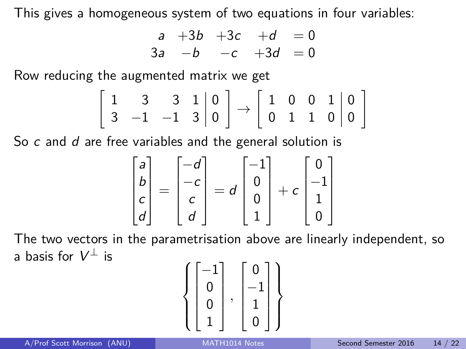This gives a homogeneous system of two equations in four variables:

$$
\begin{array}{cccc}\na & +3b & +3c & +d & = 0 \\
3a & -b & -c & +3d & = 0\n\end{array}
$$

Row reducing the augmented matrix we get

$$
\left[\begin{array}{ccc|c}1 & 3 & 3 & 1 & 0\\3 & -1 & -1 & 3 & 0\end{array}\right]\rightarrow \left[\begin{array}{ccc|c}1 & 0 & 0 & 1 & 0\\0 & 1 & 1 & 0 & 0\end{array}\right]
$$

So c and d are free variables and the general solution is

$$
\begin{bmatrix} a \\ b \\ c \\ d \end{bmatrix} = \begin{bmatrix} -d \\ -c \\ c \\ d \end{bmatrix} = d \begin{bmatrix} -1 \\ 0 \\ 0 \\ 1 \end{bmatrix} + c \begin{bmatrix} 0 \\ -1 \\ 1 \\ 0 \end{bmatrix}
$$

The two vectors in the parametrisation above are linearly independent, so a basis for  $V^{\perp}$  is

$$
\left\{ \begin{bmatrix} -1 \\ 0 \\ 0 \\ 1 \end{bmatrix}, \begin{bmatrix} 0 \\ -1 \\ 1 \\ 0 \end{bmatrix} \right\}
$$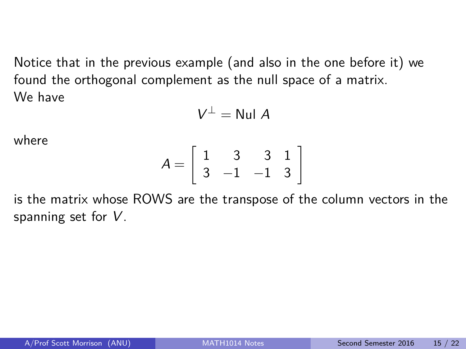Notice that in the previous example (and also in the one before it) we found the orthogonal complement as the null space of a matrix. We have

 $V^{\perp} =$  Nul A

where

$$
A = \left[ \begin{array}{rrr} 1 & 3 & 3 & 1 \\ 3 & -1 & -1 & 3 \end{array} \right]
$$

is the matrix whose ROWS are the transpose of the column vectors in the spanning set for V.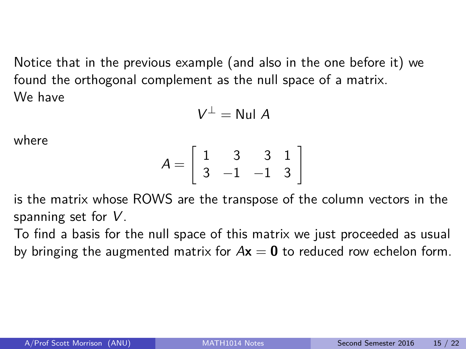Notice that in the previous example (and also in the one before it) we found the orthogonal complement as the null space of a matrix. We have

 $V^{\perp} =$  Nul A

where

$$
A = \left[ \begin{array}{rrr} 1 & 3 & 3 & 1 \\ 3 & -1 & -1 & 3 \end{array} \right]
$$

is the matrix whose ROWS are the transpose of the column vectors in the spanning set for V.

To find a basis for the null space of this matrix we just proceeded as usual by bringing the augmented matrix for  $Ax = 0$  to reduced row echelon form.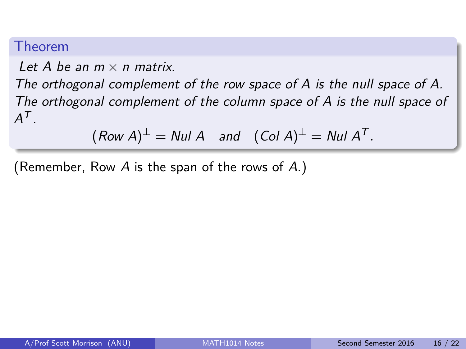#### Theorem

Let A be an  $m \times n$  matrix.

The orthogonal complement of the row space of A is the null space of A. The orthogonal complement of the column space of A is the null space of  $A^{\mathcal{T}}$  .

 $(\textit{Row A})^\perp = \textit{Nul A} \quad \textit{and} \quad (\textit{Col A})^\perp = \textit{Nul A}^\mathcal{T}.$ 

(Remember, Row A is the span of the rows of A.)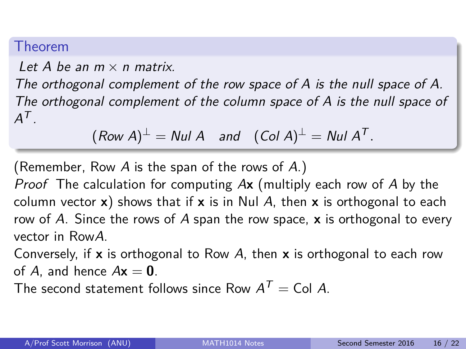#### Theorem

Let A be an  $m \times n$  matrix.

The orthogonal complement of the row space of A is the null space of A. The orthogonal complement of the column space of A is the null space of  $A^{\mathcal{T}}$  .

$$
(Row A)^{\perp} = Null A
$$
 and  $(Col A)^{\perp} = Null A^{T}$ .

(Remember, Row A is the span of the rows of A.)

Proof The calculation for computing A**x** (multiply each row of A by the column vector **x**) shows that if **x** is in Nul A, then **x** is orthogonal to each row of A. Since the rows of A span the row space, **x** is orthogonal to every vector in RowA.

Conversely, if **x** is orthogonal to Row A, then **x** is orthogonal to each row of A, and hence  $A\mathbf{x} = \mathbf{0}$ .

The second statement follows since Row  $A^T =$  Col A.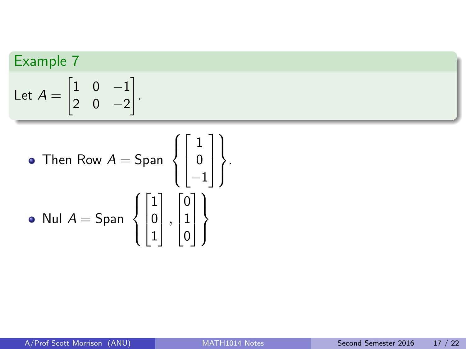## Example 7

Let 
$$
A = \begin{bmatrix} 1 & 0 & -1 \\ 2 & 0 & -2 \end{bmatrix}
$$
.

\n- Then Row 
$$
A = \text{Span } \left\{ \begin{bmatrix} 1 \\ 0 \\ -1 \end{bmatrix} \right\}.
$$
\n- Null  $A = \text{Span } \left\{ \begin{bmatrix} 1 \\ 0 \\ 1 \end{bmatrix}, \begin{bmatrix} 0 \\ 1 \\ 0 \end{bmatrix} \right\}.$
\n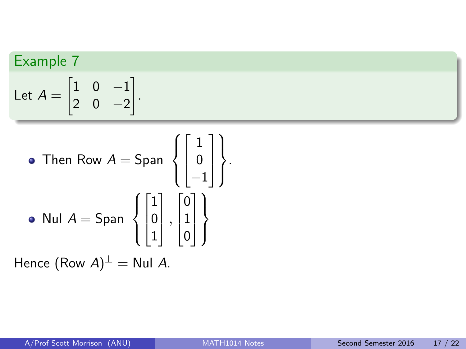### Example 7

Let 
$$
A = \begin{bmatrix} 1 & 0 & -1 \\ 2 & 0 & -2 \end{bmatrix}
$$
.

\n- Then Row 
$$
A = \text{Span } \left\{ \begin{bmatrix} 1 \\ 0 \\ -1 \end{bmatrix} \right\}.
$$
\n- Null  $A = \text{Span } \left\{ \begin{bmatrix} 1 \\ 0 \\ 1 \end{bmatrix}, \begin{bmatrix} 0 \\ 1 \\ 0 \end{bmatrix} \right\}.$
\n

Hence  $(\text{Row } A)^{\perp} = \text{Null } A$ .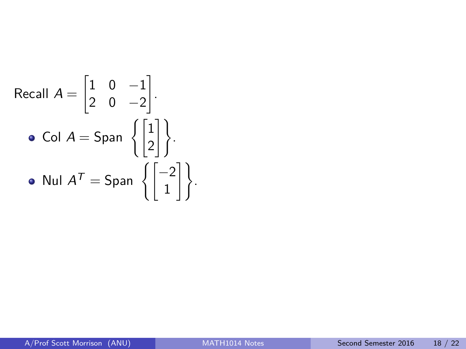Recall 
$$
A = \begin{bmatrix} 1 & 0 & -1 \\ 2 & 0 & -2 \end{bmatrix}
$$
.  
\n• Col  $A = \text{Span } \left\{ \begin{bmatrix} 1 \\ 2 \end{bmatrix} \right\}$ .  
\n• Null  $A^T = \text{Span } \left\{ \begin{bmatrix} -2 \\ 1 \end{bmatrix} \right\}$ .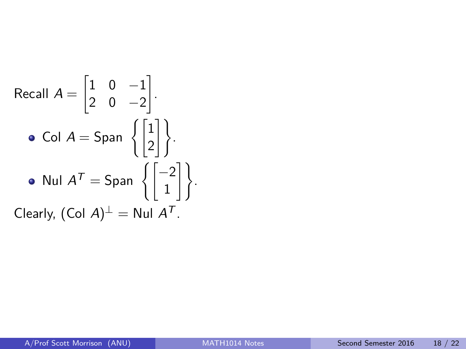Recall 
$$
A = \begin{bmatrix} 1 & 0 & -1 \\ 2 & 0 & -2 \end{bmatrix}
$$
.  
\n• Col  $A = \text{Span } \left\{ \begin{bmatrix} 1 \\ 2 \end{bmatrix} \right\}$ .  
\n• Null  $A^T = \text{Span } \left\{ \begin{bmatrix} -2 \\ 1 \end{bmatrix} \right\}$ .  
\nClearly,  $(\text{Col } A)^\perp = \text{Nul } A^T$ .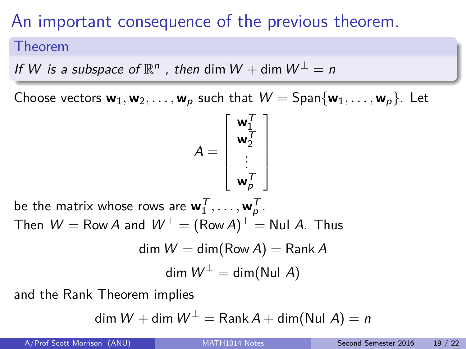# An important consequence of the previous theorem.

#### Theorem

If W is a subspace of  $\mathbb{R}^n$ , then dim  $W +$  dim  $W^{\perp} = n$ 

Choose vectors  $w_1, w_2, \ldots, w_p$  such that  $W = \text{Span}\{w_1, \ldots, w_p\}$ . Let

$$
A = \begin{bmatrix} \mathbf{w}_1^T \\ \mathbf{w}_2^T \\ \vdots \\ \mathbf{w}_p^T \end{bmatrix}
$$

be the matrix whose rows are  $\mathbf{w}_1^{\mathcal{T}}, \ldots, \mathbf{w}_p^{\mathcal{T}}$ . Then  $\mathcal{W}=\mathsf{Row}\, A$  and  $\mathcal{W}^\perp=(\mathsf{Row}\, A)^\perp=\mathsf{N}$ ul  $A$ . Thus

$$
\dim W = \dim(\text{Row } A) = \text{Rank } A
$$

$$
\dim W^{\perp} = \dim(\text{Nul } A)
$$

and the Rank Theorem implies

$$
\dim W + \dim W^{\perp} = \text{Rank } A + \dim(\text{Nul } A) = n
$$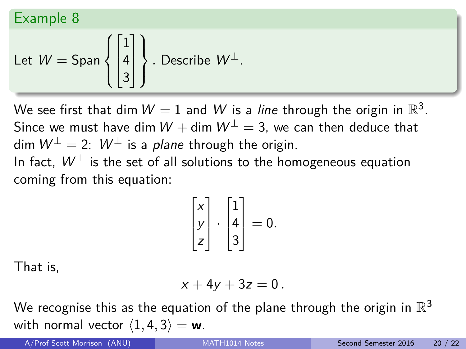### Example 8

Let 
$$
W = \text{Span}\left\{ \begin{bmatrix} 1 \\ 4 \\ 3 \end{bmatrix} \right\}
$$
. Describe  $W^{\perp}$ .

We see first that dim  $W=1$  and  $W$  is a *line* through the origin in  $\mathbb{R}^3.$ Since we must have dim  $W + \dim W^{\perp} = 3$ , we can then deduce that dim  $W^{\perp} = 2$ :  $W^{\perp}$  is a plane through the origin. In fact.  $W^{\perp}$  is the set of all solutions to the homogeneous equation coming from this equation:

$$
\begin{bmatrix} x \\ y \\ z \end{bmatrix} \cdot \begin{bmatrix} 1 \\ 4 \\ 3 \end{bmatrix} = 0.
$$

That is,

$$
x+4y+3z=0.
$$

We recognise this as the equation of the plane through the origin in  $\mathbb{R}^3$ with normal vector  $\langle 1, 4, 3 \rangle = \mathbf{w}$ .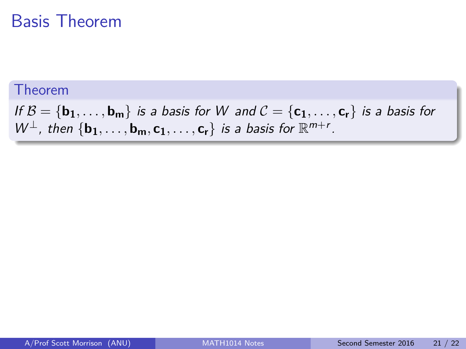## Basis Theorem

#### Theorem

If  $B = \{b_1, \ldots, b_m\}$  is a basis for W and  $C = \{c_1, \ldots, c_r\}$  is a basis for  $W^{\perp}$ , then  $\{b_1, \ldots, b_m, c_1, \ldots, c_r\}$  is a basis for  $\mathbb{R}^{m+r}$ .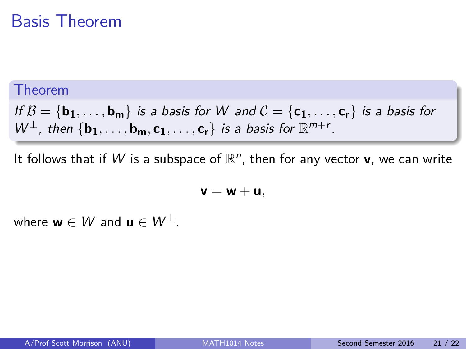## Basis Theorem

#### Theorem

If  $\mathcal{B} = \{b_1, \ldots, b_m\}$  is a basis for W and  $\mathcal{C} = \{c_1, \ldots, c_r\}$  is a basis for  $W^{\perp}$ , then  $\{b_1, \ldots, b_m, c_1, \ldots, c_r\}$  is a basis for  $\mathbb{R}^{m+r}$ .

It follows that if W is a subspace of  $\mathbb{R}^n$ , then for any vector **v**, we can write

 $v = w + u$ 

where  $w \in W$  and  $u \in W^{\perp}$ .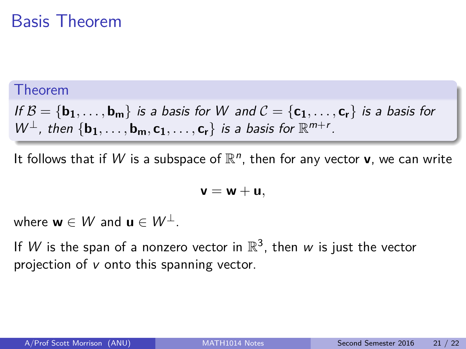## Basis Theorem

#### Theorem

If  $B = \{b_1, \ldots, b_m\}$  is a basis for W and  $C = \{c_1, \ldots, c_r\}$  is a basis for  $W^{\perp}$ , then  $\{b_1, \ldots, b_m, c_1, \ldots, c_r\}$  is a basis for  $\mathbb{R}^{m+r}$ .

It follows that if W is a subspace of  $\mathbb{R}^n$ , then for any vector **v**, we can write

$$
\mathbf{v}=\mathbf{w}+\mathbf{u},
$$

where  $w \in W$  and  $u \in W^{\perp}$ .

If W is the span of a nonzero vector in  $\mathbb{R}^3$ , then w is just the vector projection of v onto this spanning vector.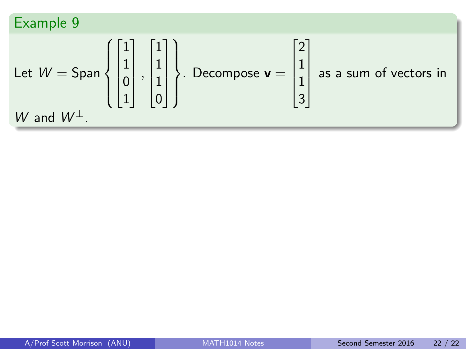